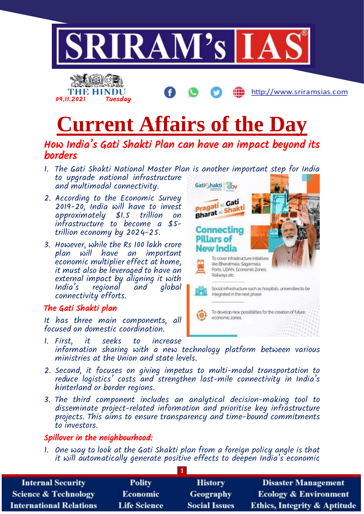

# **Current Affairs of the Day**

## How India's Gati Shakti Plan can have an impact beyond its borders

- 1. The Gati Shakti National Master Plan is another important step for India to upgrade national infrastructure Gati<sub>Shakti</sub> and multimodal connectivity.
- 2. According to the Economic Survey 2019-20, India will have to invest approximately \$1.5 trillion on infrastructure to become a \$5 trillion economy by 2024-25.
- 3. However, while the Rs 100 lakh crore plan will have an important economic multiplier effect at home, it must also be leveraged to have an external impact by aligning it with *regional* connectivity efforts.

#### The Gati Shakti plan

It has three main components, all focused on domestic coordination.

- **Pragati** K Gati **Pragati K** Shakti **Connecting Pillars of** New India To cover infrastructure initiatives like Bharatmala, Sagarmala, Ports, UDAN, Economic Zones. Railways etc Social infrastructure such as hospitals, universities to be integrated in the next phase To develop new possibilities for the creation of future economic zones
- 1. First, it seeks to increase information sharing with a new technology platform between various ministries at the Union and state levels.
- 2. Second, it focuses on giving impetus to multi-modal transportation to reduce logistics' costs and strengthen last-mile connectivity in India's hinterland or border regions.
- 3. The third component includes an analytical decision-making tool to disseminate project-related information and prioritise key infrastructure projects. This aims to ensure transparency and time-bound commitments to investors.

#### Spillover in the neighbourhood:

1. One way to look at the Gati Shakti plan from a foreign policy angle is that it will automatically generate positive effects to deepen India's economic

| <b>Internal Security</b>        | <b>Polity</b>       | <b>History</b>       | <b>Disaster Management</b>              |
|---------------------------------|---------------------|----------------------|-----------------------------------------|
| <b>Science &amp; Technology</b> | <b>Economic</b>     | <b>Geography</b>     | <b>Ecology &amp; Environment</b>        |
| <b>International Relations</b>  | <b>Life Science</b> | <b>Social Issues</b> | <b>Ethics, Integrity &amp; Aptitude</b> |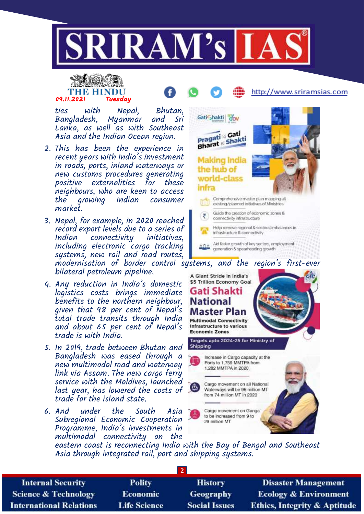

## THE HINDL 09.11.2021 Tuesday

ties with Nepal, Bhutan, Bangladesh, Myanmar and Sri

Lanka, as well as with Southeast Asia and the Indian Ocean region.

- 2. This has been the experience in recent years with India's investment in roads, ports, inland waterways or new customs procedures generating positive externalities for these neighbours, who are keen to access the growing Indian consumer market.
- 3. Nepal, for example, in 2020 reached record export levels due to a series of Indian connectivity initiatives, including electronic cargo tracking systems, new rail and road routes, modernisation of border control systems, and the region's first-ever

bilateral petroleum pipeline.

- 4. Any reduction in India's domestic logistics costs brings immediate benefits to the northern neighbour, given that 98 per cent of Nepal's total trade transits through India and about 65 per cent of Nepal's trade is with India.
- 5. In 2019, trade between Bhutan and Bangladesh was eased through a new multimodal road and waterway link via Assam. The new cargo ferry service with the Maldives, launched last year, has lowered the costs of trade for the island state.
- 6. And under the South Asia Subregional Economic Cooperation Programme, India's investments in multimodal connectivity on the



http://www.sriramsias.com

A Giant Stride in India's \$5 Trillion Economy Goal Gati Shakti **National Master Plan Multimodal Connectivity** Infrastructure to various **Economic Zones** Targets upto 2024-25 for Ministry of Shipping Increase in Cargo capacity at the Ports to 1,759 MMTPA from 1,282 MMTPA in 2020 Cargo movement on all National Ο. Waterways will be 95 million MT from 74 million MT in 2020 Cargo movement on Ganga to be increased from 9 to 29 million MT

eastern coast is reconnecting India with the Bay of Bengal and Southeast Asia through integrated rail, port and shipping systems.

| <b>Internal Security</b>        | <b>Polity</b>       | <b>History</b>       | <b>Disaster Management</b>              |
|---------------------------------|---------------------|----------------------|-----------------------------------------|
| <b>Science &amp; Technology</b> | <b>Economic</b>     | <b>Geography</b>     | <b>Ecology &amp; Environment</b>        |
| <b>International Relations</b>  | <b>Life Science</b> | <b>Social Issues</b> | <b>Ethics, Integrity &amp; Aptitude</b> |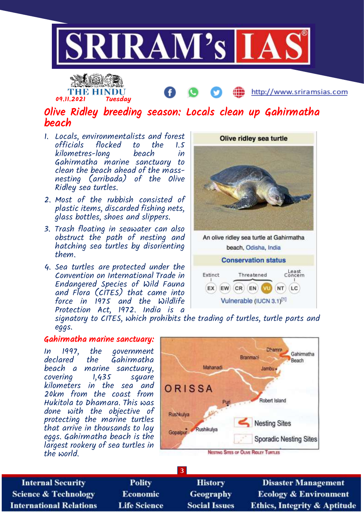



http://www.sriramsias.com

## Olive Ridley breeding season: Locals clean up Gahirmatha beach

- 1. Locals, environmentalists and forest officials flocked to the<br>kilometres-lono beach kilometres-long beach in Gahirmatha marine sanctuary to clean the beach ahead of the massnesting (arribada) of the Olive Ridley sea turtles.
- 2. Most of the rubbish consisted of plastic items, discarded fishing nets, glass bottles, shoes and slippers.
- 3. Trash floating in seawater can also obstruct the path of nesting and hatching sea turtles by disorienting them.
- 4. Sea turtles are protected under the Convention on International Trade in Endangered Species of Wild Fauna and Flora (CITES) that came into force in 1975 and the Wildlife Protection Act, 1972. India is a





signatory to CITES, which prohibits the trading of turtles, turtle parts and eggs.

#### Gahirmatha marine sanctuary:

In 1997, the government **Gahirmatha** beach a marine sanctuary, covering 1,435 square kilometers in the sea and 20km from the coast from Hukitola to Dhamara. This was done with the objective of protecting the marine turtles that arrive in thousands to lay eggs. Gahirmatha beach is the largest rookery of sea turtles in the world.



**Internal Security Science & Technology International Relations** 

**Polity Economic Life Science** 

**History** Geography **Social Issues** 

**3**

**Disaster Management Ecology & Environment Ethics, Integrity & Aptitude**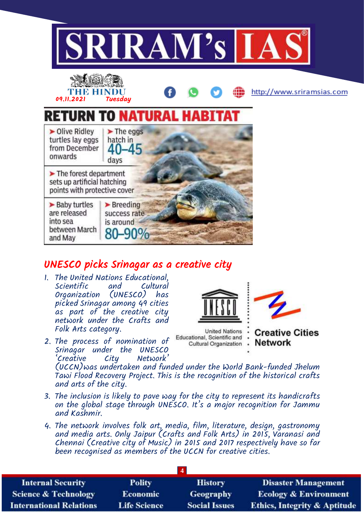

## UNESCO picks Srinagar as a creative city

- 1. The United Nations Educational, Scientific and Cultural Organization (UNESCO) has picked Srinagar among 49 cities as part of the creative city network under the Crafts and Folk Arts category.
- 2. The process of nomination of Srinagar under the UNESCO<br>'Creative City Network' Network<sup>'</sup>



Educational, Scientific and Cultural Organization

**Creative Cities Network** 

(UCCN)was undertaken and funded under the World Bank-funded Jhelum Tawi Flood Recovery Project. This is the recognition of the historical crafts and arts of the city.

- 3. The inclusion is likely to pave way for the city to represent its handicrafts on the global stage through UNESCO. It's a major recognition for Jammu and Kashmir.
- 4. The network involves folk art, media, film, literature, design, gastronomy and media arts. Only Jaipur (Crafts and Folk Arts) in 2015, Varanasi and Chennai (Creative city of Music) in 2015 and 2017 respectively have so far been recognised as members of the UCCN for creative cities.

| <b>Internal Security</b>        | <b>Polity</b>       | <b>History</b>       | <b>Disaster Management</b>              |
|---------------------------------|---------------------|----------------------|-----------------------------------------|
| <b>Science &amp; Technology</b> | <b>Economic</b>     | <b>Geography</b>     | <b>Ecology &amp; Environment</b>        |
| <b>International Relations</b>  | <b>Life Science</b> | <b>Social Issues</b> | <b>Ethics, Integrity &amp; Aptitude</b> |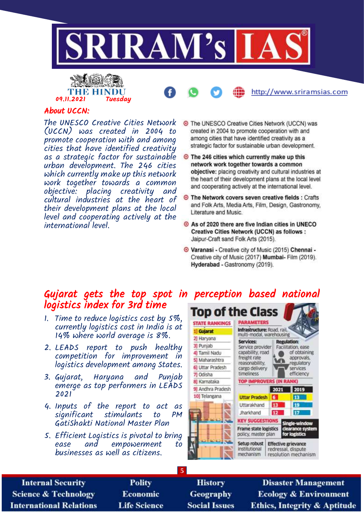





#### About UCCN:

The UNESCO Creative Cities Network (UCCN) was created in 2004 to promote cooperation with and among cities that have identified creativity as a strategic factor for sustainable urban development. The 246 cities which currently make up this network work together towards a common objective: placing creativity and cultural industries at the heart of their development plans at the local level and cooperating actively at the international level.

- **O** The UNESCO Creative Cities Network (UCCN) was created in 2004 to promote cooperation with and among cities that have identified creativity as a strategic factor for sustainable urban development.
- ⊙ The 246 cities which currently make up this network work together towards a common objective: placing creativity and cultural industries at the heart of their development plans at the local level and cooperating actively at the international level.
- **O** The Network covers seven creative fields : Crafts and Folk Arts, Media Arts, Film, Design, Gastronomy, Literature and Music.
- As of 2020 there are five Indian cities in UNECO Creative Cities Network (UCCN) as follows : Jaipur-Craft sand Folk Arts (2015).
- O Varanasi Creative city of Music (2015) Chennai -Creative city of Music (2017) Mumbai- Film (2019). Hyderabad - Gastronomy (2019).

### Gujarat gets the top spot in perception based national logistics index for 3rd time

- 1. Time to reduce logistics cost by 5%, currently logistics cost in India is at 14% where world average is 8%.
- 2. LEADS report to push healthy competition for improvement in logistics development among States.
- 3. Gujarat, Haryana and Punjab emerge as top performers in LEADS 2021
- 4. Inputs of the report to act as significant stimulants to PM GatiShakti National Master Plan
- 5. Efficient Logistics is pivotal to bring ease and empowerment to businesses as well as citizens.



**Internal Security Science & Technology International Relations** 

**Polity** Economic **Life Science** 

**History** Geography **Social Issues** 

**5**

**Disaster Management Ecology & Environment Ethics, Integrity & Aptitude**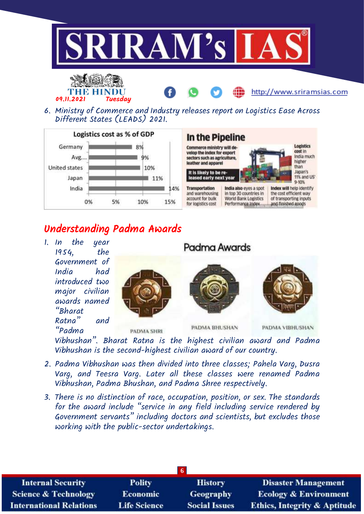





Different States (LEADS) 2021.





## Understanding Padma Awards

1. In the year 1954, the Government of India had introduced two major civilian awards named "Bharat Ratna" and "Padma







http://www.sriramsias.com

**PADMA SHRI** 

PADMA BHUSHAN

Padma Awards

PADMA VIBHUSHAN

Vibhushan". Bharat Ratna is the highest civilian award and Padma Vibhushan is the second-highest civilian award of our country.

- 2. Padma Vibhushan was then divided into three classes; Pahela Varg, Dusra Varg, and Teesra Varg. Later all these classes were renamed Padma Vibhushan, Padma Bhushan, and Padma Shree respectively.
- 3. There is no distinction of race, occupation, position, or sex. The standards for the award include "service in any field including service rendered by Government servants" including doctors and scientists, but excludes those working with the public-sector undertakings.

| <b>Internal Security</b>        | <b>Polity</b>       | <b>History</b>       | <b>Disaster Management</b>              |
|---------------------------------|---------------------|----------------------|-----------------------------------------|
| <b>Science &amp; Technology</b> | <b>Economic</b>     | <b>Geography</b>     | <b>Ecology &amp; Environment</b>        |
| <b>International Relations</b>  | <b>Life Science</b> | <b>Social Issues</b> | <b>Ethics, Integrity &amp; Aptitude</b> |